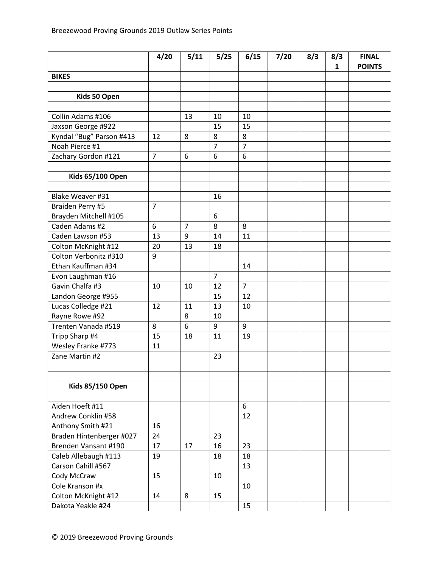|                          | 4/20           | 5/11           | 5/25           | 6/15             | 7/20 | 8/3 | 8/3          | <b>FINAL</b>  |
|--------------------------|----------------|----------------|----------------|------------------|------|-----|--------------|---------------|
|                          |                |                |                |                  |      |     | $\mathbf{1}$ | <b>POINTS</b> |
| <b>BIKES</b>             |                |                |                |                  |      |     |              |               |
|                          |                |                |                |                  |      |     |              |               |
| Kids 50 Open             |                |                |                |                  |      |     |              |               |
|                          |                |                |                |                  |      |     |              |               |
| Collin Adams #106        |                | 13             | 10             | 10               |      |     |              |               |
| Jaxson George #922       |                |                | 15             | 15               |      |     |              |               |
| Kyndal "Bug" Parson #413 | 12             | 8              | 8              | 8                |      |     |              |               |
| Noah Pierce #1           |                |                | $\overline{7}$ | $\overline{7}$   |      |     |              |               |
| Zachary Gordon #121      | $\overline{7}$ | 6              | 6              | $\boldsymbol{6}$ |      |     |              |               |
|                          |                |                |                |                  |      |     |              |               |
| <b>Kids 65/100 Open</b>  |                |                |                |                  |      |     |              |               |
|                          |                |                |                |                  |      |     |              |               |
| Blake Weaver #31         |                |                | 16             |                  |      |     |              |               |
| Braiden Perry #5         | $\overline{7}$ |                |                |                  |      |     |              |               |
| Brayden Mitchell #105    |                |                | 6              |                  |      |     |              |               |
| Caden Adams #2           | 6              | $\overline{7}$ | 8              | 8                |      |     |              |               |
| Caden Lawson #53         | 13             | 9              | 14             | 11               |      |     |              |               |
| Colton McKnight #12      | 20             | 13             | 18             |                  |      |     |              |               |
| Colton Verbonitz #310    | 9              |                |                |                  |      |     |              |               |
| Ethan Kauffman #34       |                |                |                | 14               |      |     |              |               |
| Evon Laughman #16        |                |                | $\overline{7}$ |                  |      |     |              |               |
| Gavin Chalfa #3          | 10             | 10             | 12             | $\overline{7}$   |      |     |              |               |
| Landon George #955       |                |                | 15             | 12               |      |     |              |               |
| Lucas Colledge #21       | 12             | 11             | 13             | 10               |      |     |              |               |
| Rayne Rowe #92           |                | 8              | 10             |                  |      |     |              |               |
| Trenten Vanada #519      | 8              | 6              | 9              | 9                |      |     |              |               |
| Tripp Sharp #4           | 15             | 18             | 11             | 19               |      |     |              |               |
| Wesley Franke #773       | 11             |                |                |                  |      |     |              |               |
| Zane Martin #2           |                |                | 23             |                  |      |     |              |               |
|                          |                |                |                |                  |      |     |              |               |
|                          |                |                |                |                  |      |     |              |               |
| <b>Kids 85/150 Open</b>  |                |                |                |                  |      |     |              |               |
|                          |                |                |                |                  |      |     |              |               |
| Aiden Hoeft #11          |                |                |                | 6                |      |     |              |               |
| Andrew Conklin #58       |                |                |                | 12               |      |     |              |               |
| Anthony Smith #21        | 16             |                |                |                  |      |     |              |               |
| Braden Hintenberger #027 | 24             |                | 23             |                  |      |     |              |               |
| Brenden Vansant #190     | 17             | 17             | 16             | 23               |      |     |              |               |
| Caleb Allebaugh #113     | 19             |                | 18             | 18               |      |     |              |               |
| Carson Cahill #567       |                |                |                | 13               |      |     |              |               |
| Cody McCraw              | 15             |                | 10             |                  |      |     |              |               |
| Cole Kranson #x          |                |                |                | 10               |      |     |              |               |
| Colton McKnight #12      | 14             | 8              | 15             |                  |      |     |              |               |
| Dakota Yeakle #24        |                |                |                | 15               |      |     |              |               |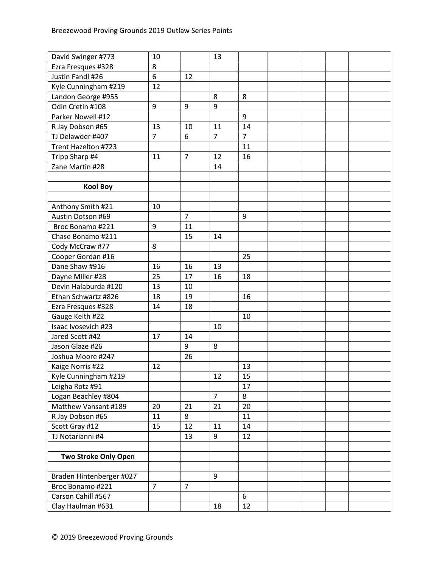| David Swinger #773          | 10             |                | 13             |                |  |  |
|-----------------------------|----------------|----------------|----------------|----------------|--|--|
| Ezra Fresques #328          | 8              |                |                |                |  |  |
| Justin Fandl #26            | 6              | 12             |                |                |  |  |
| Kyle Cunningham #219        | 12             |                |                |                |  |  |
| Landon George #955          |                |                | 8              | 8              |  |  |
| Odin Cretin #108            | 9              | 9              | 9              |                |  |  |
| Parker Nowell #12           |                |                |                | 9              |  |  |
| R Jay Dobson #65            | 13             | 10             | 11             | 14             |  |  |
| TJ Delawder #407            | $\overline{7}$ | 6              | $\overline{7}$ | $\overline{7}$ |  |  |
| Trent Hazelton #723         |                |                |                | 11             |  |  |
| Tripp Sharp #4              | 11             | $\overline{7}$ | 12             | 16             |  |  |
| Zane Martin #28             |                |                | 14             |                |  |  |
|                             |                |                |                |                |  |  |
| <b>Kool Boy</b>             |                |                |                |                |  |  |
|                             |                |                |                |                |  |  |
| Anthony Smith #21           | 10             |                |                |                |  |  |
| Austin Dotson #69           |                | $\overline{7}$ |                | 9              |  |  |
| Broc Bonamo #221            | 9              | 11             |                |                |  |  |
| Chase Bonamo #211           |                | 15             | 14             |                |  |  |
| Cody McCraw #77             | 8              |                |                |                |  |  |
| Cooper Gordan #16           |                |                |                | 25             |  |  |
| Dane Shaw #916              | 16             | 16             | 13             |                |  |  |
| Dayne Miller #28            | 25             | 17             | 16             | 18             |  |  |
| Devin Halaburda #120        | 13             | 10             |                |                |  |  |
| Ethan Schwartz #826         | 18             | 19             |                | 16             |  |  |
| Ezra Fresques #328          | 14             | 18             |                |                |  |  |
| Gauge Keith #22             |                |                |                | 10             |  |  |
| Isaac Ivosevich #23         |                |                | 10             |                |  |  |
| Jared Scott #42             | 17             | 14             |                |                |  |  |
| Jason Glaze #26             |                | 9              | 8              |                |  |  |
| Joshua Moore #247           |                | 26             |                |                |  |  |
| Kaige Norris #22            | 12             |                |                | 13             |  |  |
| Kyle Cunningham #219        |                |                | 12             | 15             |  |  |
| Leigha Rotz #91             |                |                |                | 17             |  |  |
| Logan Beachley #804         |                |                | $\overline{7}$ | 8              |  |  |
| Matthew Vansant #189        | 20             | 21             | 21             | 20             |  |  |
| R Jay Dobson #65            | 11             | 8              |                | 11             |  |  |
| Scott Gray #12              | 15             | 12             | 11             | 14             |  |  |
| TJ Notarianni #4            |                | 13             | 9              | 12             |  |  |
|                             |                |                |                |                |  |  |
| <b>Two Stroke Only Open</b> |                |                |                |                |  |  |
|                             |                |                |                |                |  |  |
| Braden Hintenberger #027    |                |                | $9\,$          |                |  |  |
| Broc Bonamo #221            | $\overline{7}$ | $\overline{7}$ |                |                |  |  |
| Carson Cahill #567          |                |                |                | 6              |  |  |
| Clay Haulman #631           |                |                | 18             | 12             |  |  |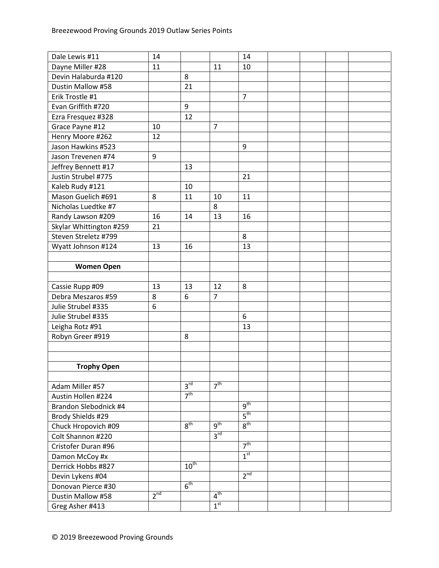| Dale Lewis #11          | 14              |                  |                 | 14              |  |  |
|-------------------------|-----------------|------------------|-----------------|-----------------|--|--|
| Dayne Miller #28        | 11              |                  | 11              | 10              |  |  |
| Devin Halaburda #120    |                 | 8                |                 |                 |  |  |
| Dustin Mallow #58       |                 | 21               |                 |                 |  |  |
| Erik Trostle #1         |                 |                  |                 | $\overline{7}$  |  |  |
| Evan Griffith #720      |                 | 9                |                 |                 |  |  |
| Ezra Fresquez #328      |                 | 12               |                 |                 |  |  |
| Grace Payne #12         | 10              |                  | $\overline{7}$  |                 |  |  |
| Henry Moore #262        | 12              |                  |                 |                 |  |  |
| Jason Hawkins #523      |                 |                  |                 | 9               |  |  |
| Jason Trevenen #74      | 9               |                  |                 |                 |  |  |
| Jeffrey Bennett #17     |                 | 13               |                 |                 |  |  |
| Justin Strubel #775     |                 |                  |                 | 21              |  |  |
| Kaleb Rudy #121         |                 | 10               |                 |                 |  |  |
| Mason Guelich #691      | 8               | 11               | 10              | 11              |  |  |
| Nicholas Luedtke #7     |                 |                  | 8               |                 |  |  |
| Randy Lawson #209       | 16              | 14               | 13              | 16              |  |  |
| Skylar Whittington #259 | 21              |                  |                 |                 |  |  |
| Steven Streletz #799    |                 |                  |                 | 8               |  |  |
| Wyatt Johnson #124      | 13              | 16               |                 | 13              |  |  |
|                         |                 |                  |                 |                 |  |  |
| <b>Women Open</b>       |                 |                  |                 |                 |  |  |
|                         |                 |                  |                 |                 |  |  |
| Cassie Rupp #09         | 13              | 13               | 12              | 8               |  |  |
| Debra Meszaros #59      | 8               | 6                | $\overline{7}$  |                 |  |  |
| Julie Strubel #335      | 6               |                  |                 |                 |  |  |
| Julie Strubel #335      |                 |                  |                 | 6               |  |  |
| Leigha Rotz #91         |                 |                  |                 | 13              |  |  |
| Robyn Greer #919        |                 | 8                |                 |                 |  |  |
|                         |                 |                  |                 |                 |  |  |
|                         |                 |                  |                 |                 |  |  |
| <b>Trophy Open</b>      |                 |                  |                 |                 |  |  |
|                         |                 |                  |                 |                 |  |  |
| Adam Miller #57         |                 | 3 <sup>rd</sup>  | 7 <sup>th</sup> |                 |  |  |
| Austin Hollen #224      |                 | 7 <sup>th</sup>  |                 |                 |  |  |
| Brandon Slebodnick #4   |                 |                  |                 | g <sup>th</sup> |  |  |
| Brody Shields #29       |                 |                  |                 | $5^{\text{th}}$ |  |  |
| Chuck Hropovich #09     |                 | 8 <sup>th</sup>  | $q^{th}$        | 8 <sup>th</sup> |  |  |
| Colt Shannon #220       |                 |                  | 3 <sup>rd</sup> |                 |  |  |
| Cristofer Duran #96     |                 |                  |                 | 7 <sup>th</sup> |  |  |
| Damon McCoy #x          |                 |                  |                 | 1 <sup>st</sup> |  |  |
| Derrick Hobbs #827      |                 | $10^{\text{th}}$ |                 |                 |  |  |
| Devin Lykens #04        |                 |                  |                 | 2 <sup>nd</sup> |  |  |
| Donovan Pierce #30      |                 | 6 <sup>th</sup>  |                 |                 |  |  |
| Dustin Mallow #58       | 2 <sup>nd</sup> |                  | 4 <sup>th</sup> |                 |  |  |
| Greg Asher #413         |                 |                  | 1 <sup>st</sup> |                 |  |  |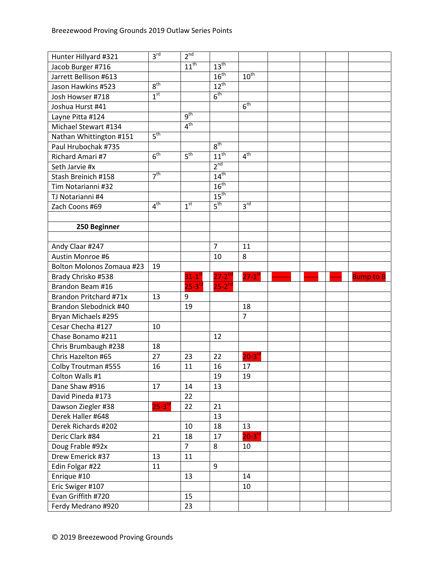| Hunter Hillyard #321             | 3 <sup>rd</sup>     | 2 <sup>nd</sup>  |                  |                      |  |       |                  |
|----------------------------------|---------------------|------------------|------------------|----------------------|--|-------|------------------|
| Jacob Burger #716                |                     | $11^{\text{th}}$ | $13^{\text{th}}$ |                      |  |       |                  |
| Jarrett Bellison #613            |                     |                  | 16 <sup>th</sup> | $10^{th}$            |  |       |                  |
| Jason Hawkins #523               | 8 <sup>th</sup>     |                  | $12^{th}$        |                      |  |       |                  |
| Josh Howser #718                 | 1 <sup>st</sup>     |                  | 6 <sup>th</sup>  |                      |  |       |                  |
| Joshua Hurst #41                 |                     |                  |                  | 6 <sup>th</sup>      |  |       |                  |
| Layne Pitta #124                 |                     | $q^{th}$         |                  |                      |  |       |                  |
| Michael Stewart #134             |                     | 4 <sup>th</sup>  |                  |                      |  |       |                  |
| Nathan Whittington #151          | 5 <sup>th</sup>     |                  |                  |                      |  |       |                  |
| Paul Hrubochak #735              |                     |                  | 8 <sup>th</sup>  |                      |  |       |                  |
| Richard Amari #7                 | 6 <sup>th</sup>     | 5 <sup>th</sup>  | $11^{th}$        | 4 <sup>th</sup>      |  |       |                  |
| Seth Jarvie #x                   |                     |                  | 2 <sup>nd</sup>  |                      |  |       |                  |
| Stash Breinich #158              | $\overline{7^{th}}$ |                  | $14^{th}$        |                      |  |       |                  |
| Tim Notarianni #32               |                     |                  | $16^{th}$        |                      |  |       |                  |
| TJ Notarianni #4                 |                     |                  | $15^{\text{th}}$ |                      |  |       |                  |
| Zach Coons #69                   | 4 <sup>th</sup>     | 1 <sup>st</sup>  | 5 <sup>th</sup>  | 3 <sup>rd</sup>      |  |       |                  |
|                                  |                     |                  |                  |                      |  |       |                  |
| 250 Beginner                     |                     |                  |                  |                      |  |       |                  |
|                                  |                     |                  |                  |                      |  |       |                  |
| Andy Claar #247                  |                     |                  | $\overline{7}$   | 11                   |  |       |                  |
| Austin Monroe #6                 |                     |                  | 10               | 8                    |  |       |                  |
| <b>Bolton Molonos Zomaua #23</b> | 19                  |                  |                  |                      |  |       |                  |
| Brady Chrisko #538               |                     | $31-1^\text{st}$ | $27 - 2^{nd}$    | $27-1$ <sup>st</sup> |  | $---$ | <b>Bump to B</b> |
| Brandon Beam #16                 |                     | $25 - 3^{rd}$    | $25-2^{nd}$      |                      |  |       |                  |
| Brandon Pritchard #71x           | 13                  | 9                |                  |                      |  |       |                  |
| Brandon Slebodnick #40           |                     | 19               |                  | 18                   |  |       |                  |
| Bryan Michaels #295              |                     |                  |                  | $\overline{7}$       |  |       |                  |
| Cesar Checha #127                | 10                  |                  |                  |                      |  |       |                  |
| Chase Bonamo #211                |                     |                  | 12               |                      |  |       |                  |
| Chris Brumbaugh #238             | 18                  |                  |                  |                      |  |       |                  |
| Chris Hazelton #65               | 27                  | 23               | 22               | $20-3$ <sup>rd</sup> |  |       |                  |
| Colby Troutman #555              | 16                  | 11               | 16               | 17                   |  |       |                  |
| Colton Walls #1                  |                     |                  | 19               | 19                   |  |       |                  |
| Dane Shaw #916                   | 17                  | 14               | 13               |                      |  |       |                  |
| David Pineda #173                |                     | 22               |                  |                      |  |       |                  |
| Dawson Ziegler #38               | $25 - 3^{rd}$       | 22               | 21               |                      |  |       |                  |
| Derek Haller #648                |                     |                  | 13               |                      |  |       |                  |
| Derek Richards #202              |                     | 10               | 18               | 13                   |  |       |                  |
| Deric Clark #84                  | 21                  | 18               | 17               | $20 - 3^{rd}$        |  |       |                  |
| Doug Frable #92x                 |                     | $\overline{7}$   | 8                | 10                   |  |       |                  |
| Drew Emerick #37                 | 13                  | 11               |                  |                      |  |       |                  |
| Edin Folgar #22                  | 11                  |                  | 9                |                      |  |       |                  |
| Enrique #10                      |                     | 13               |                  | 14                   |  |       |                  |
| Eric Swiger #107                 |                     |                  |                  | 10                   |  |       |                  |
| Evan Griffith #720               |                     | 15               |                  |                      |  |       |                  |
| Ferdy Medrano #920               |                     | 23               |                  |                      |  |       |                  |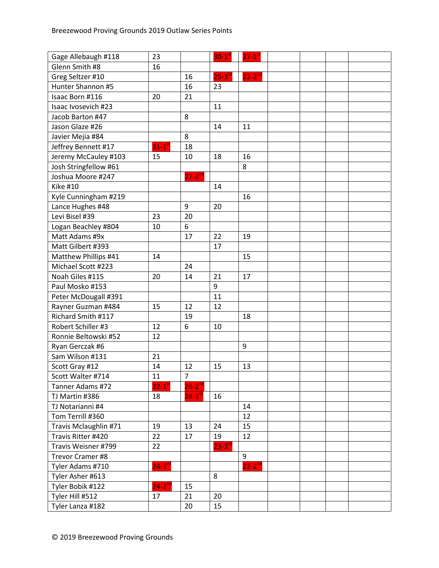| Gage Allebaugh #118   | 23                   |                | $30-1$        | $27 - 1$ <sup>s</sup> |  |  |
|-----------------------|----------------------|----------------|---------------|-----------------------|--|--|
| Glenn Smith #8        | 16                   |                |               |                       |  |  |
| Greg Seltzer #10      |                      | 16             | $25 - 3^{rc}$ | $22-2^{nd}$           |  |  |
| Hunter Shannon #5     |                      | 16             | 23            |                       |  |  |
| Isaac Born #116       | 20                   | 21             |               |                       |  |  |
| Isaac Ivosevich #23   |                      |                | 11            |                       |  |  |
| Jacob Barton #47      |                      | 8              |               |                       |  |  |
| Jason Glaze #26       |                      |                | 14            | 11                    |  |  |
| Javier Mejia #84      |                      | 8              |               |                       |  |  |
| Jeffrey Bennett #17   | $31-1$ <sup>st</sup> | 18             |               |                       |  |  |
| Jeremy McCauley #103  | 15                   | 10             | 18            | 16                    |  |  |
| Josh Stringfellow #61 |                      |                |               | 8                     |  |  |
| Joshua Moore #247     |                      | $27 - 2^{nd}$  |               |                       |  |  |
| <b>Kike #10</b>       |                      |                | 14            |                       |  |  |
| Kyle Cunningham #219  |                      |                |               | 16                    |  |  |
| Lance Hughes #48      |                      | 9              | 20            |                       |  |  |
| Levi Bisel #39        | 23                   | 20             |               |                       |  |  |
| Logan Beachley #804   | 10                   | 6              |               |                       |  |  |
| Matt Adams #9x        |                      | 17             | 22            | 19                    |  |  |
| Matt Gilbert #393     |                      |                | 17            |                       |  |  |
| Matthew Phillips #41  | 14                   |                |               | 15                    |  |  |
| Michael Scott #223    |                      | 24             |               |                       |  |  |
| Noah Giles #115       | 20                   | 14             | 21            | 17                    |  |  |
| Paul Mosko #153       |                      |                | 9             |                       |  |  |
| Peter McDougall #391  |                      |                | 11            |                       |  |  |
| Rayner Guzman #484    | 15                   | 12             | 12            |                       |  |  |
| Richard Smith #117    |                      | 19             |               | 18                    |  |  |
| Robert Schiller #3    | 12                   | 6              | 10            |                       |  |  |
| Ronnie Beltowski #52  | 12                   |                |               |                       |  |  |
| Ryan Gerczak #6       |                      |                |               | 9                     |  |  |
| Sam Wilson #131       | 21                   |                |               |                       |  |  |
| Scott Gray #12        | 14                   | 12             | 15            | 13                    |  |  |
| Scott Walter #714     | 11                   | $\overline{7}$ |               |                       |  |  |
| Tanner Adams #72      | $32-1$ <sup>st</sup> | $26 - 2^{nd}$  |               |                       |  |  |
| TJ Martin #386        | 18                   | $24 - 3^{rd}$  | 16            |                       |  |  |
| TJ Notarianni #4      |                      |                |               | 14                    |  |  |
| Tom Terrill #360      |                      |                |               | 12                    |  |  |
| Travis Mclaughlin #71 | 19                   | 13             | 24            | 15                    |  |  |
| Travis Ritter #420    | 22                   | 17             | 19            | 12                    |  |  |
| Travis Weisner #799   | 22                   |                | $23 - 3^{10}$ |                       |  |  |
| Trevor Cramer #8      |                      |                |               | 9                     |  |  |
| Tyler Adams #710      | $24 - 3^{rd}$        |                |               | $22 - 2^{nd}$         |  |  |
| Tyler Asher #613      |                      |                | 8             |                       |  |  |
| Tyler Bobik #122      | $24-2$ <sup>nd</sup> | 15             |               |                       |  |  |
| Tyler Hill #512       | 17                   | 21             | 20            |                       |  |  |
| Tyler Lanza #182      |                      | 20             | 15            |                       |  |  |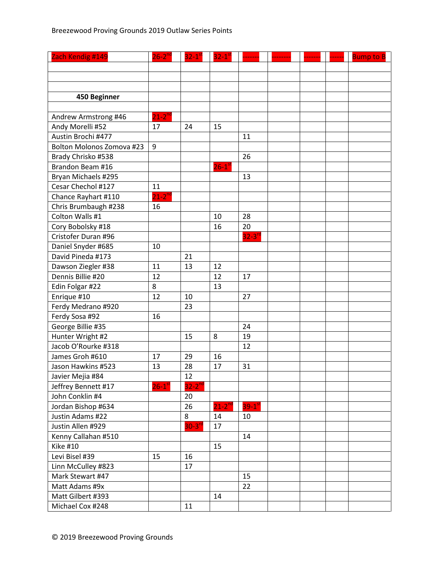| Zach Kendig #149                 | $26 - 2^{nd}$        | $32-1$ <sup>st</sup> | $32 - 1$ <sup>st</sup> |                      |  | <b>Bump to B</b> |
|----------------------------------|----------------------|----------------------|------------------------|----------------------|--|------------------|
|                                  |                      |                      |                        |                      |  |                  |
|                                  |                      |                      |                        |                      |  |                  |
|                                  |                      |                      |                        |                      |  |                  |
| 450 Beginner                     |                      |                      |                        |                      |  |                  |
|                                  |                      |                      |                        |                      |  |                  |
| Andrew Armstrong #46             | $21-2$ <sup>nd</sup> |                      |                        |                      |  |                  |
| Andy Morelli #52                 | 17                   | 24                   | 15                     |                      |  |                  |
| Austin Brochi #477               |                      |                      |                        | 11                   |  |                  |
| <b>Bolton Molonos Zomova #23</b> | 9                    |                      |                        |                      |  |                  |
| Brady Chrisko #538               |                      |                      |                        | 26                   |  |                  |
| Brandon Beam #16                 |                      |                      | $26-1$ <sup>st</sup>   |                      |  |                  |
| Bryan Michaels #295              |                      |                      |                        | 13                   |  |                  |
| Cesar Chechol #127               | 11                   |                      |                        |                      |  |                  |
| Chance Rayhart #110              | $21-2^{nd}$          |                      |                        |                      |  |                  |
| Chris Brumbaugh #238             | 16                   |                      |                        |                      |  |                  |
| Colton Walls #1                  |                      |                      | 10                     | 28                   |  |                  |
| Cory Bobolsky #18                |                      |                      | 16                     | 20                   |  |                  |
| Cristofer Duran #96              |                      |                      |                        | $32-3$ <sup>rd</sup> |  |                  |
| Daniel Snyder #685               | 10                   |                      |                        |                      |  |                  |
| David Pineda #173                |                      | 21                   |                        |                      |  |                  |
| Dawson Ziegler #38               | 11                   | 13                   | 12                     |                      |  |                  |
| Dennis Billie #20                | 12                   |                      | 12                     | 17                   |  |                  |
| Edin Folgar #22                  | 8                    |                      | 13                     |                      |  |                  |
| Enrique #10                      | 12                   | 10                   |                        | 27                   |  |                  |
| Ferdy Medrano #920               |                      | 23                   |                        |                      |  |                  |
| Ferdy Sosa #92                   | 16                   |                      |                        |                      |  |                  |
| George Billie #35                |                      |                      |                        | 24                   |  |                  |
| Hunter Wright #2                 |                      | 15                   | 8                      | 19                   |  |                  |
| Jacob O'Rourke #318              |                      |                      |                        | 12                   |  |                  |
| James Groh #610                  | 17                   | 29                   | 16                     |                      |  |                  |
| Jason Hawkins #523               | 13                   | 28                   | 17                     | 31                   |  |                  |
| Javier Mejia #84                 |                      | 12                   |                        |                      |  |                  |
| Jeffrey Bennett #17              | $26-1$ <sup>st</sup> | $32-2^{nd}$          |                        |                      |  |                  |
| John Conklin #4                  |                      | 20                   |                        |                      |  |                  |
| Jordan Bishop #634               |                      | 26                   | $21-2^{nd}$            | $39-1^{st}$          |  |                  |
| Justin Adams #22                 |                      | 8                    | 14                     | 10                   |  |                  |
| Justin Allen #929                |                      | $30-3$ <sup>rd</sup> | 17                     |                      |  |                  |
| Kenny Callahan #510              |                      |                      |                        | 14                   |  |                  |
| <b>Kike #10</b>                  |                      |                      | 15                     |                      |  |                  |
| Levi Bisel #39                   | 15                   | 16                   |                        |                      |  |                  |
| Linn McCulley #823               |                      | 17                   |                        |                      |  |                  |
| Mark Stewart #47                 |                      |                      |                        | 15                   |  |                  |
| Matt Adams #9x                   |                      |                      |                        | 22                   |  |                  |
| Matt Gilbert #393                |                      |                      | 14                     |                      |  |                  |
| Michael Cox #248                 |                      | 11                   |                        |                      |  |                  |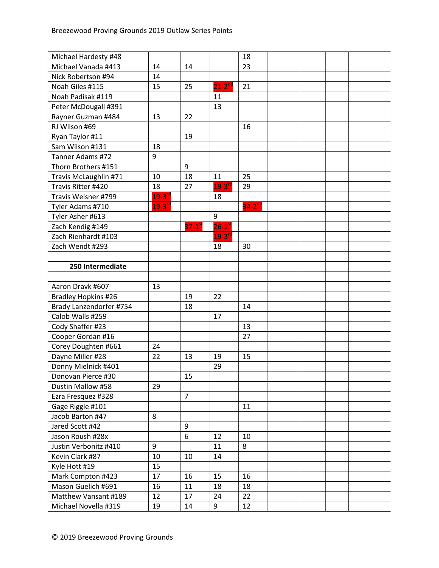| Michael Hardesty #48       |               |                      |                        | 18                   |  |  |
|----------------------------|---------------|----------------------|------------------------|----------------------|--|--|
| Michael Vanada #413        | 14            | 14                   |                        | 23                   |  |  |
| Nick Robertson #94         | 14            |                      |                        |                      |  |  |
| Noah Giles #115            | 15            | 25                   | $21-2$ <sup>nd</sup>   | 21                   |  |  |
| Noah Padisak #119          |               |                      | 11                     |                      |  |  |
| Peter McDougall #391       |               |                      | 13                     |                      |  |  |
| Rayner Guzman #484         | 13            | 22                   |                        |                      |  |  |
| RJ Wilson #69              |               |                      |                        | 16                   |  |  |
| Ryan Taylor #11            |               | 19                   |                        |                      |  |  |
| Sam Wilson #131            | 18            |                      |                        |                      |  |  |
| Tanner Adams #72           | 9             |                      |                        |                      |  |  |
| Thorn Brothers #151        |               | 9                    |                        |                      |  |  |
| Travis McLaughlin #71      | 10            | 18                   | 11                     | 25                   |  |  |
| Travis Ritter #420         | 18            | 27                   | $19 - 3^{n}$           | 29                   |  |  |
| Travis Weisner #799        | $19-3$ rd     |                      | 18                     |                      |  |  |
| Tyler Adams #710           | $19 - 3^{rd}$ |                      |                        | $34-2$ <sup>nd</sup> |  |  |
| Tyler Asher #613           |               |                      | 9                      |                      |  |  |
| Zach Kendig #149           |               | $37-1$ <sup>st</sup> | $26 - 1$ <sup>st</sup> |                      |  |  |
| Zach Rienhardt #103        |               |                      | $19-3$ <sup>rd</sup>   |                      |  |  |
| Zach Wendt #293            |               |                      | 18                     | 30                   |  |  |
|                            |               |                      |                        |                      |  |  |
| 250 Intermediate           |               |                      |                        |                      |  |  |
|                            |               |                      |                        |                      |  |  |
| Aaron Dravk #607           | 13            |                      |                        |                      |  |  |
| <b>Bradley Hopkins #26</b> |               | 19                   | 22                     |                      |  |  |
| Brady Lanzendorfer #754    |               | 18                   |                        | 14                   |  |  |
| Calob Walls #259           |               |                      | 17                     |                      |  |  |
| Cody Shaffer #23           |               |                      |                        | 13                   |  |  |
| Cooper Gordan #16          |               |                      |                        | 27                   |  |  |
| Corey Doughten #661        | 24            |                      |                        |                      |  |  |
| Dayne Miller #28           | 22            | 13                   | 19                     | 15                   |  |  |
| Donny Mielnick #401        |               |                      | 29                     |                      |  |  |
| Donovan Pierce #30         |               | 15                   |                        |                      |  |  |
| Dustin Mallow #58          | 29            |                      |                        |                      |  |  |
| Ezra Fresquez #328         |               | $\overline{7}$       |                        |                      |  |  |
| Gage Riggle #101           |               |                      |                        | 11                   |  |  |
| Jacob Barton #47           | 8             |                      |                        |                      |  |  |
| Jared Scott #42            |               | 9                    |                        |                      |  |  |
| Jason Roush #28x           |               | 6                    | 12                     | 10                   |  |  |
| Justin Verbonitz #410      | 9             |                      | 11                     | 8                    |  |  |
| Kevin Clark #87            | 10            | 10                   | 14                     |                      |  |  |
| Kyle Hott #19              | 15            |                      |                        |                      |  |  |
| Mark Compton #423          | 17            | 16                   | 15                     | 16                   |  |  |
| Mason Guelich #691         | 16            | 11                   | 18                     | 18                   |  |  |
| Matthew Vansant #189       | 12            | 17                   | 24                     | 22                   |  |  |
| Michael Novella #319       | 19            | 14                   | 9                      | 12                   |  |  |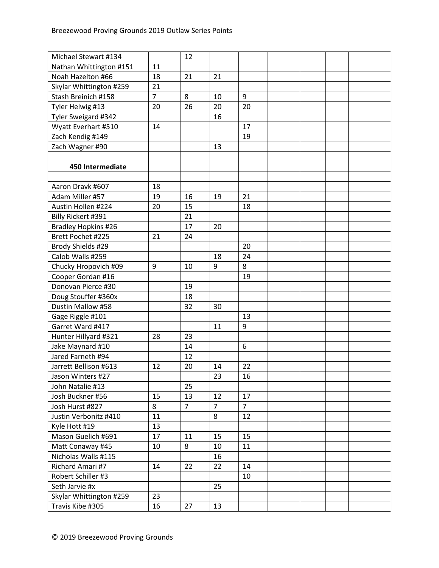| Michael Stewart #134       |                | 12             |                |                |  |  |
|----------------------------|----------------|----------------|----------------|----------------|--|--|
| Nathan Whittington #151    | 11             |                |                |                |  |  |
| Noah Hazelton #66          | 18             | 21             | 21             |                |  |  |
| Skylar Whittington #259    | 21             |                |                |                |  |  |
| Stash Breinich #158        | $\overline{7}$ | 8              | 10             | 9              |  |  |
| Tyler Helwig #13           | 20             | 26             | 20             | 20             |  |  |
| Tyler Sweigard #342        |                |                | 16             |                |  |  |
| Wyatt Everhart #510        | 14             |                |                | 17             |  |  |
| Zach Kendig #149           |                |                |                | 19             |  |  |
| Zach Wagner #90            |                |                | 13             |                |  |  |
|                            |                |                |                |                |  |  |
| 450 Intermediate           |                |                |                |                |  |  |
|                            |                |                |                |                |  |  |
| Aaron Dravk #607           | 18             |                |                |                |  |  |
| Adam Miller #57            | 19             | 16             | 19             | 21             |  |  |
| Austin Hollen #224         | 20             | 15             |                | 18             |  |  |
| Billy Rickert #391         |                | 21             |                |                |  |  |
| <b>Bradley Hopkins #26</b> |                | 17             | 20             |                |  |  |
| Brett Pochet #225          | 21             | 24             |                |                |  |  |
| Brody Shields #29          |                |                |                | 20             |  |  |
| Calob Walls #259           |                |                | 18             | 24             |  |  |
| Chucky Hropovich #09       | 9              | 10             | 9              | 8              |  |  |
| Cooper Gordan #16          |                |                |                | 19             |  |  |
| Donovan Pierce #30         |                | 19             |                |                |  |  |
| Doug Stouffer #360x        |                | 18             |                |                |  |  |
| Dustin Mallow #58          |                | 32             | 30             |                |  |  |
| Gage Riggle #101           |                |                |                | 13             |  |  |
| Garret Ward #417           |                |                | 11             | 9              |  |  |
| Hunter Hillyard #321       | 28             | 23             |                |                |  |  |
| Jake Maynard #10           |                | 14             |                | 6              |  |  |
| Jared Farneth #94          |                | 12             |                |                |  |  |
| Jarrett Bellison #613      | 12             | 20             | 14             | 22             |  |  |
| Jason Winters #27          |                |                | 23             | 16             |  |  |
| John Natalie #13           |                | 25             |                |                |  |  |
| Josh Buckner #56           | 15             | 13             | 12             | 17             |  |  |
| Josh Hurst #827            | 8              | $\overline{7}$ | $\overline{7}$ | $\overline{7}$ |  |  |
| Justin Verbonitz #410      | 11             |                | 8              | 12             |  |  |
| Kyle Hott #19              | 13             |                |                |                |  |  |
| Mason Guelich #691         | 17             | 11             | 15             | 15             |  |  |
| Matt Conaway #45           | 10             | 8              | 10             | 11             |  |  |
| Nicholas Walls #115        |                |                | 16             |                |  |  |
| Richard Amari #7           | 14             | 22             | 22             | 14             |  |  |
| Robert Schiller #3         |                |                |                | 10             |  |  |
| Seth Jarvie #x             |                |                | 25             |                |  |  |
| Skylar Whittington #259    | 23             |                |                |                |  |  |
| Travis Kibe #305           | 16             | 27             | 13             |                |  |  |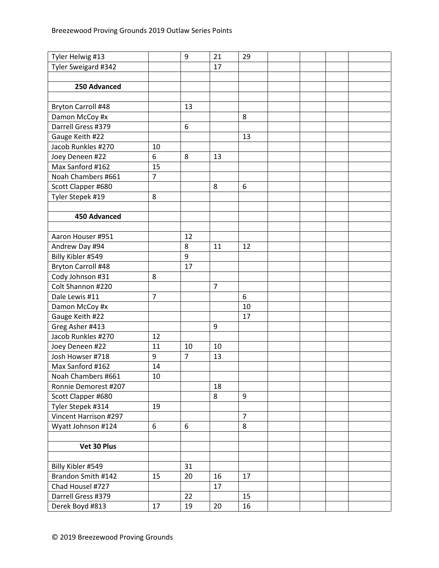| Tyler Sweigard #342<br>17                     |  |
|-----------------------------------------------|--|
|                                               |  |
| 250 Advanced                                  |  |
|                                               |  |
| Bryton Carroll #48<br>13                      |  |
| 8<br>Damon McCoy #x                           |  |
| Darrell Gress #379<br>6                       |  |
| Gauge Keith #22<br>13                         |  |
| Jacob Runkles #270<br>10                      |  |
| 6<br>Joey Deneen #22<br>8<br>13               |  |
| Max Sanford #162<br>15                        |  |
| 7<br>Noah Chambers #661                       |  |
| 6<br>Scott Clapper #680<br>8                  |  |
| Tyler Stepek #19<br>8                         |  |
|                                               |  |
| 450 Advanced                                  |  |
|                                               |  |
| 12<br>Aaron Houser #951                       |  |
| Andrew Day #94<br>8<br>11<br>12               |  |
| Billy Kibler #549<br>9                        |  |
| 17<br><b>Bryton Carroll #48</b>               |  |
| Cody Johnson #31<br>8                         |  |
| Colt Shannon #220<br>$\overline{7}$           |  |
| $\overline{7}$<br>6<br>Dale Lewis #11         |  |
| Damon McCoy #x<br>10                          |  |
| Gauge Keith #22<br>17                         |  |
| Greg Asher #413<br>9                          |  |
| Jacob Runkles #270<br>12                      |  |
| Joey Deneen #22<br>11<br>10<br>10             |  |
| $\overline{7}$<br>9<br>13<br>Josh Howser #718 |  |
| Max Sanford #162<br>14                        |  |
| Noah Chambers #661<br>10                      |  |
| 18<br>Ronnie Demorest #207                    |  |
| $\boldsymbol{9}$<br>Scott Clapper #680<br>8   |  |
| Tyler Stepek #314<br>19                       |  |
| Vincent Harrison #297<br>$\overline{7}$       |  |
| 8<br>6<br>6<br>Wyatt Johnson #124             |  |
|                                               |  |
| Vet 30 Plus                                   |  |
|                                               |  |
| Billy Kibler #549<br>31                       |  |
| Brandon Smith #142<br>15<br>20<br>16<br>17    |  |
| Chad Housel #727<br>17                        |  |
| Darrell Gress #379<br>22<br>15                |  |
| Derek Boyd #813<br>17<br>19<br>16<br>20       |  |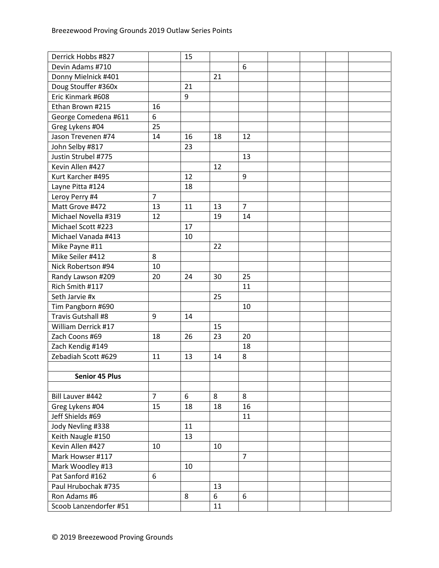| Derrick Hobbs #827     |                | 15 |    |                |  |  |
|------------------------|----------------|----|----|----------------|--|--|
| Devin Adams #710       |                |    |    | 6              |  |  |
| Donny Mielnick #401    |                |    | 21 |                |  |  |
| Doug Stouffer #360x    |                | 21 |    |                |  |  |
| Eric Kinmark #608      |                | 9  |    |                |  |  |
| Ethan Brown #215       | 16             |    |    |                |  |  |
| George Comedena #611   | 6              |    |    |                |  |  |
| Greg Lykens #04        | 25             |    |    |                |  |  |
| Jason Trevenen #74     | 14             | 16 | 18 | 12             |  |  |
| John Selby #817        |                | 23 |    |                |  |  |
| Justin Strubel #775    |                |    |    | 13             |  |  |
| Kevin Allen #427       |                |    | 12 |                |  |  |
| Kurt Karcher #495      |                | 12 |    | 9              |  |  |
| Layne Pitta #124       |                | 18 |    |                |  |  |
| Leroy Perry #4         | $\overline{7}$ |    |    |                |  |  |
| Matt Grove #472        | 13             | 11 | 13 | $\overline{7}$ |  |  |
| Michael Novella #319   | 12             |    | 19 | 14             |  |  |
| Michael Scott #223     |                | 17 |    |                |  |  |
| Michael Vanada #413    |                | 10 |    |                |  |  |
| Mike Payne #11         |                |    | 22 |                |  |  |
| Mike Seiler #412       | 8              |    |    |                |  |  |
| Nick Robertson #94     | 10             |    |    |                |  |  |
| Randy Lawson #209      | 20             | 24 | 30 | 25             |  |  |
| Rich Smith #117        |                |    |    | 11             |  |  |
| Seth Jarvie #x         |                |    | 25 |                |  |  |
| Tim Pangborn #690      |                |    |    | 10             |  |  |
| Travis Gutshall #8     | 9              | 14 |    |                |  |  |
| William Derrick #17    |                |    | 15 |                |  |  |
| Zach Coons #69         | 18             | 26 | 23 | 20             |  |  |
| Zach Kendig #149       |                |    |    | 18             |  |  |
| Zebadiah Scott #629    | 11             | 13 | 14 | 8              |  |  |
|                        |                |    |    |                |  |  |
| <b>Senior 45 Plus</b>  |                |    |    |                |  |  |
|                        |                |    |    |                |  |  |
| Bill Lauver #442       | $\overline{7}$ | 6  | 8  | 8              |  |  |
| Greg Lykens #04        | 15             | 18 | 18 | 16             |  |  |
| Jeff Shields #69       |                |    |    | 11             |  |  |
| Jody Nevling #338      |                | 11 |    |                |  |  |
| Keith Naugle #150      |                | 13 |    |                |  |  |
| Kevin Allen #427       | 10             |    | 10 |                |  |  |
| Mark Howser #117       |                |    |    | $\overline{7}$ |  |  |
| Mark Woodley #13       |                | 10 |    |                |  |  |
| Pat Sanford #162       | 6              |    |    |                |  |  |
| Paul Hrubochak #735    |                |    | 13 |                |  |  |
| Ron Adams #6           |                | 8  | 6  | 6              |  |  |
| Scoob Lanzendorfer #51 |                |    | 11 |                |  |  |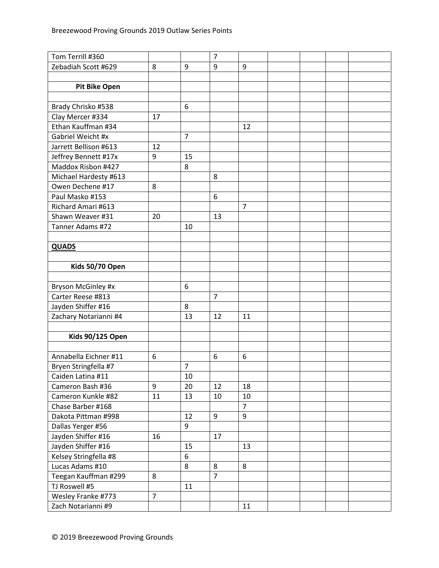| Tom Terrill #360        |                |                | $\overline{7}$ |                |  |  |
|-------------------------|----------------|----------------|----------------|----------------|--|--|
| Zebadiah Scott #629     | 8              | 9              | 9              | 9              |  |  |
|                         |                |                |                |                |  |  |
| <b>Pit Bike Open</b>    |                |                |                |                |  |  |
|                         |                |                |                |                |  |  |
| Brady Chrisko #538      |                | 6              |                |                |  |  |
| Clay Mercer #334        | 17             |                |                |                |  |  |
| Ethan Kauffman #34      |                |                |                | 12             |  |  |
| Gabriel Weicht #x       |                | $\overline{7}$ |                |                |  |  |
| Jarrett Bellison #613   | 12             |                |                |                |  |  |
| Jeffrey Bennett #17x    | 9              | 15             |                |                |  |  |
| Maddox Risbon #427      |                | 8              |                |                |  |  |
| Michael Hardesty #613   |                |                | 8              |                |  |  |
| Owen Dechene #17        | 8              |                |                |                |  |  |
| Paul Masko #153         |                |                | 6              |                |  |  |
| Richard Amari #613      |                |                |                | $\overline{7}$ |  |  |
| Shawn Weaver #31        | 20             |                | 13             |                |  |  |
| Tanner Adams #72        |                | 10             |                |                |  |  |
|                         |                |                |                |                |  |  |
| <b>QUADS</b>            |                |                |                |                |  |  |
|                         |                |                |                |                |  |  |
| Kids 50/70 Open         |                |                |                |                |  |  |
|                         |                |                |                |                |  |  |
| Bryson McGinley #x      |                | 6              |                |                |  |  |
| Carter Reese #813       |                |                | $\overline{7}$ |                |  |  |
| Jayden Shiffer #16      |                | 8              |                |                |  |  |
| Zachary Notarianni #4   |                | 13             | 12             | 11             |  |  |
|                         |                |                |                |                |  |  |
| <b>Kids 90/125 Open</b> |                |                |                |                |  |  |
|                         |                |                |                |                |  |  |
| Annabella Eichner #11   | 6              |                | 6              | 6              |  |  |
| Bryen Stringfella #7    |                | $\overline{7}$ |                |                |  |  |
| Caiden Latina #11       |                | 10             |                |                |  |  |
| Cameron Bash #36        | 9              | 20             | 12             | 18             |  |  |
| Cameron Kunkle #82      | 11             | 13             | 10             | 10             |  |  |
| Chase Barber #168       |                |                |                | $\overline{7}$ |  |  |
| Dakota Pittman #998     |                | 12             | 9              | 9              |  |  |
| Dallas Yerger #56       |                | 9              |                |                |  |  |
| Jayden Shiffer #16      | 16             |                | 17             |                |  |  |
| Jayden Shiffer #16      |                | 15             |                | 13             |  |  |
| Kelsey Stringfella #8   |                | 6              |                |                |  |  |
| Lucas Adams #10         |                | 8              | 8              | 8              |  |  |
| Teegan Kauffman #299    | 8              |                | $\overline{7}$ |                |  |  |
| TJ Roswell #5           |                | 11             |                |                |  |  |
| Wesley Franke #773      | $\overline{7}$ |                |                |                |  |  |
| Zach Notarianni #9      |                |                |                | 11             |  |  |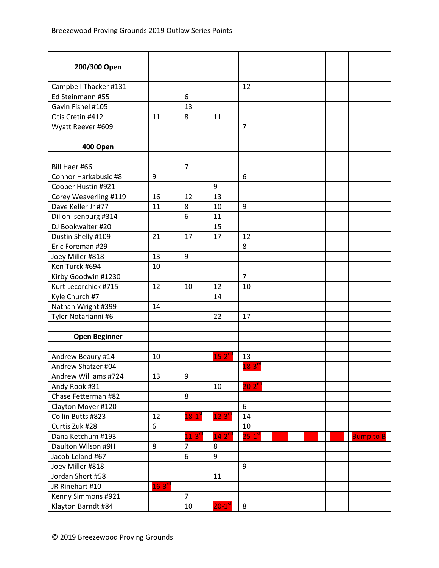| 200/300 Open          |                      |                      |                       |                      |       |                  |
|-----------------------|----------------------|----------------------|-----------------------|----------------------|-------|------------------|
|                       |                      |                      |                       |                      |       |                  |
| Campbell Thacker #131 |                      |                      |                       | 12                   |       |                  |
| Ed Steinmann #55      |                      | 6                    |                       |                      |       |                  |
| Gavin Fishel #105     |                      | 13                   |                       |                      |       |                  |
| Otis Cretin #412      | 11                   | 8                    | 11                    |                      |       |                  |
| Wyatt Reever #609     |                      |                      |                       | $\overline{7}$       |       |                  |
|                       |                      |                      |                       |                      |       |                  |
| 400 Open              |                      |                      |                       |                      |       |                  |
|                       |                      |                      |                       |                      |       |                  |
| Bill Haer #66         |                      | $\overline{7}$       |                       |                      |       |                  |
| Connor Harkabusic #8  | 9                    |                      |                       | 6                    |       |                  |
| Cooper Hustin #921    |                      |                      | 9                     |                      |       |                  |
| Corey Weaverling #119 | 16                   | 12                   | 13                    |                      |       |                  |
| Dave Keller Jr #77    | 11                   | 8                    | 10                    | 9                    |       |                  |
| Dillon Isenburg #314  |                      | 6                    | 11                    |                      |       |                  |
| DJ Bookwalter #20     |                      |                      | 15                    |                      |       |                  |
| Dustin Shelly #109    | 21                   | 17                   | 17                    | 12                   |       |                  |
| Eric Foreman #29      |                      |                      |                       | 8                    |       |                  |
| Joey Miller #818      | 13                   | 9                    |                       |                      |       |                  |
| Ken Turck #694        | 10                   |                      |                       |                      |       |                  |
| Kirby Goodwin #1230   |                      |                      |                       | $\overline{7}$       |       |                  |
| Kurt Lecorchick #715  | 12                   | 10                   | 12                    | 10                   |       |                  |
| Kyle Church #7        |                      |                      | 14                    |                      |       |                  |
| Nathan Wright #399    | 14                   |                      |                       |                      |       |                  |
| Tyler Notarianni #6   |                      |                      | 22                    | 17                   |       |                  |
|                       |                      |                      |                       |                      |       |                  |
| <b>Open Beginner</b>  |                      |                      |                       |                      |       |                  |
|                       |                      |                      |                       |                      |       |                  |
| Andrew Beaury #14     | 10                   |                      | $15-2^{nd}$           | 13                   |       |                  |
| Andrew Shatzer #04    |                      |                      |                       | $18-3$ <sup>rd</sup> |       |                  |
| Andrew Williams #724  | 13                   | 9                    |                       |                      |       |                  |
| Andy Rook #31         |                      |                      | 10                    | $20-2^{nd}$          |       |                  |
| Chase Fetterman #82   |                      | 8                    |                       |                      |       |                  |
| Clayton Moyer #120    |                      |                      |                       | 6                    |       |                  |
| Collin Butts #823     | 12                   | $18-1$ <sup>st</sup> | $12 - 3$ <sup>n</sup> | 14                   |       |                  |
| Curtis Zuk #28        | 6                    |                      |                       | 10                   |       |                  |
| Dana Ketchum #193     |                      | $11-3$ <sup>rd</sup> | $14-2^{nd}$           | $25-1$ <sup>st</sup> | ----- | <b>Bump to B</b> |
| Daulton Wilson #9H    | 8                    | $\overline{7}$       | 8                     |                      |       |                  |
| Jacob Leland #67      |                      | 6                    | 9                     |                      |       |                  |
| Joey Miller #818      |                      |                      |                       | 9                    |       |                  |
| Jordan Short #58      |                      |                      | 11                    |                      |       |                  |
| JR Rinehart #10       | $16-3$ <sup>rd</sup> |                      |                       |                      |       |                  |
| Kenny Simmons #921    |                      | $\overline{7}$       |                       |                      |       |                  |
| Klayton Barndt #84    |                      | 10                   | $20-1$ <sup>st</sup>  | 8                    |       |                  |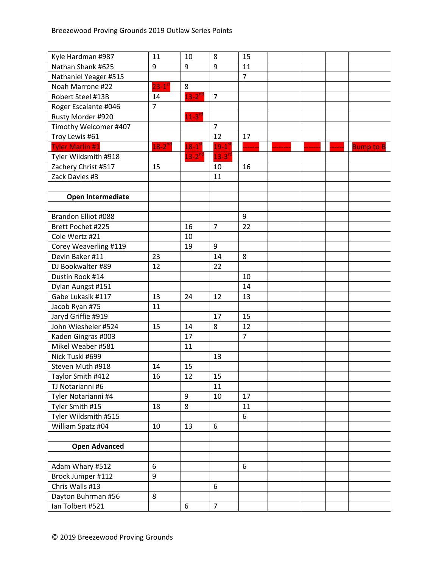| Kyle Hardman #987      | 11                   | 10                   | 8                   | 15             |  |                  |
|------------------------|----------------------|----------------------|---------------------|----------------|--|------------------|
| Nathan Shank #625      | 9                    | 9                    | 9                   | 11             |  |                  |
| Nathaniel Yeager #515  |                      |                      |                     | $\overline{7}$ |  |                  |
| Noah Marrone #22       | $23-1$ <sup>st</sup> | 8                    |                     |                |  |                  |
| Robert Steel #13B      | 14                   | $13-2$ <sup>nd</sup> | $\overline{7}$      |                |  |                  |
| Roger Escalante #046   | $\overline{7}$       |                      |                     |                |  |                  |
| Rusty Morder #920      |                      | $11-3$ <sup>rc</sup> |                     |                |  |                  |
| Timothy Welcomer #407  |                      |                      | $\overline{7}$      |                |  |                  |
| Troy Lewis #61         |                      |                      | 12                  | 17             |  |                  |
| <b>Tyler Marlin #1</b> | $18-2^{nd}$          | $18-1$ <sup>st</sup> | $19-1$ <sup>s</sup> |                |  | <b>Bump to B</b> |
| Tyler Wildsmith #918   |                      | $13-2$ <sup>nd</sup> | $13 - 3^{r}$        |                |  |                  |
| Zachery Christ #517    | 15                   |                      | 10                  | 16             |  |                  |
| Zack Davies #3         |                      |                      | 11                  |                |  |                  |
|                        |                      |                      |                     |                |  |                  |
| Open Intermediate      |                      |                      |                     |                |  |                  |
|                        |                      |                      |                     |                |  |                  |
| Brandon Elliot #088    |                      |                      |                     | 9              |  |                  |
| Brett Pochet #225      |                      | 16                   | $\overline{7}$      | 22             |  |                  |
| Cole Wertz #21         |                      | 10                   |                     |                |  |                  |
| Corey Weaverling #119  |                      | 19                   | 9                   |                |  |                  |
| Devin Baker #11        | 23                   |                      | 14                  | 8              |  |                  |
| DJ Bookwalter #89      | 12                   |                      | 22                  |                |  |                  |
| Dustin Rook #14        |                      |                      |                     | 10             |  |                  |
| Dylan Aungst #151      |                      |                      |                     | 14             |  |                  |
| Gabe Lukasik #117      | 13                   | 24                   | 12                  | 13             |  |                  |
| Jacob Ryan #75         | 11                   |                      |                     |                |  |                  |
| Jaryd Griffie #919     |                      |                      | 17                  | 15             |  |                  |
| John Wiesheier #524    | 15                   | 14                   | 8                   | 12             |  |                  |
| Kaden Gingras #003     |                      | 17                   |                     | $\overline{7}$ |  |                  |
| Mikel Weaber #581      |                      | 11                   |                     |                |  |                  |
| Nick Tuski #699        |                      |                      | 13                  |                |  |                  |
| Steven Muth #918       | 14                   | 15                   |                     |                |  |                  |
| Taylor Smith #412      | 16                   | 12                   | 15                  |                |  |                  |
| TJ Notarianni #6       |                      |                      | 11                  |                |  |                  |
| Tyler Notarianni #4    |                      | 9                    | 10                  | 17             |  |                  |
| Tyler Smith #15        | 18                   | 8                    |                     | 11             |  |                  |
| Tyler Wildsmith #515   |                      |                      |                     | 6              |  |                  |
| William Spatz #04      | 10                   | 13                   | 6                   |                |  |                  |
|                        |                      |                      |                     |                |  |                  |
| <b>Open Advanced</b>   |                      |                      |                     |                |  |                  |
|                        |                      |                      |                     |                |  |                  |
| Adam Whary #512        | 6                    |                      |                     | $6\,$          |  |                  |
| Brock Jumper #112      | 9                    |                      |                     |                |  |                  |
| Chris Walls #13        |                      |                      | 6                   |                |  |                  |
| Dayton Buhrman #56     | 8                    |                      |                     |                |  |                  |
| Ian Tolbert #521       |                      | 6                    | $\overline{7}$      |                |  |                  |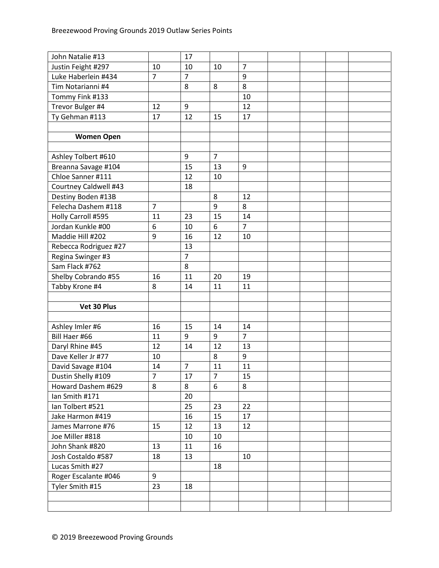| John Natalie #13      |                | 17             |                |                  |  |  |
|-----------------------|----------------|----------------|----------------|------------------|--|--|
| Justin Feight #297    | 10             | 10             | 10             | $\overline{7}$   |  |  |
| Luke Haberlein #434   | $\overline{7}$ | $\overline{7}$ |                | 9                |  |  |
| Tim Notarianni #4     |                | 8              | 8              | 8                |  |  |
| Tommy Fink #133       |                |                |                | 10               |  |  |
| Trevor Bulger #4      | 12             | 9              |                | 12               |  |  |
| Ty Gehman #113        | 17             | 12             | 15             | 17               |  |  |
|                       |                |                |                |                  |  |  |
| <b>Women Open</b>     |                |                |                |                  |  |  |
|                       |                |                |                |                  |  |  |
| Ashley Tolbert #610   |                | 9              | $\overline{7}$ |                  |  |  |
| Breanna Savage #104   |                | 15             | 13             | 9                |  |  |
| Chloe Sanner #111     |                | 12             | 10             |                  |  |  |
| Courtney Caldwell #43 |                | 18             |                |                  |  |  |
| Destiny Boden #13B    |                |                | 8              | 12               |  |  |
| Felecha Dashem #118   | $\overline{7}$ |                | 9              | 8                |  |  |
| Holly Carroll #595    | 11             | 23             | 15             | 14               |  |  |
| Jordan Kunkle #00     | 6              | 10             | 6              | $\overline{7}$   |  |  |
| Maddie Hill #202      | 9              | 16             | 12             | 10               |  |  |
| Rebecca Rodriguez #27 |                | 13             |                |                  |  |  |
| Regina Swinger #3     |                | $\overline{7}$ |                |                  |  |  |
| Sam Flack #762        |                | 8              |                |                  |  |  |
| Shelby Cobrando #55   | 16             | 11             | 20             | 19               |  |  |
| Tabby Krone #4        | 8              | 14             | 11             | 11               |  |  |
|                       |                |                |                |                  |  |  |
|                       |                |                |                |                  |  |  |
| Vet 30 Plus           |                |                |                |                  |  |  |
|                       |                |                |                |                  |  |  |
| Ashley Imler #6       | 16             | 15             | 14             | 14               |  |  |
| Bill Haer #66         | 11             | 9              | 9              | $\overline{7}$   |  |  |
| Daryl Rhine #45       | 12             | 14             | 12             | 13               |  |  |
| Dave Keller Jr #77    | 10             |                | 8              | $\boldsymbol{9}$ |  |  |
| David Savage #104     | 14             | $\overline{7}$ | 11             | 11               |  |  |
| Dustin Shelly #109    | 7              | 17             | $\overline{7}$ | 15               |  |  |
| Howard Dashem #629    | 8              | 8              | 6              | 8                |  |  |
| Ian Smith #171        |                | 20             |                |                  |  |  |
| Ian Tolbert #521      |                | 25             | 23             | 22               |  |  |
| Jake Harmon #419      |                | 16             | 15             | 17               |  |  |
| James Marrone #76     | 15             | 12             | 13             | 12               |  |  |
| Joe Miller #818       |                | 10             | 10             |                  |  |  |
| John Shank #820       | 13             | 11             | 16             |                  |  |  |
| Josh Costaldo #587    | 18             | 13             |                | 10               |  |  |
| Lucas Smith #27       |                |                | 18             |                  |  |  |
| Roger Escalante #046  | 9              |                |                |                  |  |  |
| Tyler Smith #15       | 23             | 18             |                |                  |  |  |
|                       |                |                |                |                  |  |  |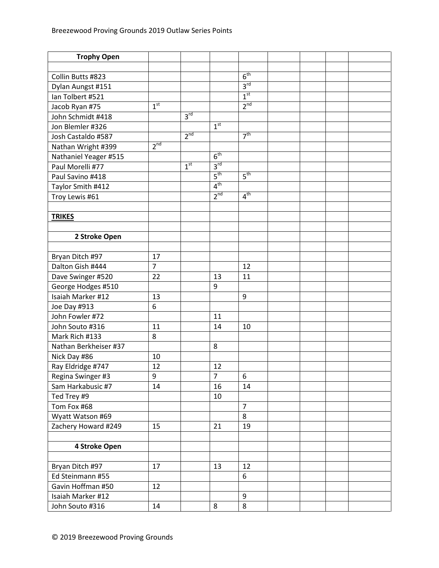| <b>Trophy Open</b>    |                 |                 |                 |                 |  |  |
|-----------------------|-----------------|-----------------|-----------------|-----------------|--|--|
|                       |                 |                 |                 |                 |  |  |
| Collin Butts #823     |                 |                 |                 | 6 <sup>th</sup> |  |  |
| Dylan Aungst #151     |                 |                 |                 | 3 <sup>rd</sup> |  |  |
| lan Tolbert #521      |                 |                 |                 | 1 <sup>st</sup> |  |  |
| Jacob Ryan #75        | 1 <sup>st</sup> |                 |                 | 2 <sup>nd</sup> |  |  |
| John Schmidt #418     |                 | 3 <sup>rd</sup> |                 |                 |  |  |
| Jon Blemler #326      |                 |                 | 1 <sup>st</sup> |                 |  |  |
| Josh Castaldo #587    |                 | 2 <sup>nd</sup> |                 | 7 <sup>th</sup> |  |  |
| Nathan Wright #399    | 2 <sup>nd</sup> |                 |                 |                 |  |  |
| Nathaniel Yeager #515 |                 |                 | 6 <sup>th</sup> |                 |  |  |
| Paul Morelli #77      |                 | 1 <sup>st</sup> | 3 <sup>rd</sup> |                 |  |  |
| Paul Savino #418      |                 |                 | 5 <sup>th</sup> | 5 <sup>th</sup> |  |  |
| Taylor Smith #412     |                 |                 | 4 <sup>th</sup> |                 |  |  |
| Troy Lewis #61        |                 |                 | $2^{nd}$        | 4 <sup>th</sup> |  |  |
|                       |                 |                 |                 |                 |  |  |
| <b>TRIKES</b>         |                 |                 |                 |                 |  |  |
|                       |                 |                 |                 |                 |  |  |
| 2 Stroke Open         |                 |                 |                 |                 |  |  |
|                       |                 |                 |                 |                 |  |  |
| Bryan Ditch #97       | 17              |                 |                 |                 |  |  |
| Dalton Gish #444      | $\overline{7}$  |                 |                 | 12              |  |  |
| Dave Swinger #520     | 22              |                 | 13              | 11              |  |  |
| George Hodges #510    |                 |                 | 9               |                 |  |  |
| Isaiah Marker #12     | 13              |                 |                 | 9               |  |  |
| Joe Day #913          | 6               |                 |                 |                 |  |  |
| John Fowler #72       |                 |                 | 11              |                 |  |  |
| John Souto #316       | 11              |                 | 14              | 10              |  |  |
| Mark Rich #133        | 8               |                 |                 |                 |  |  |
| Nathan Berkheiser #37 |                 |                 | 8               |                 |  |  |
| Nick Day #86          | 10              |                 |                 |                 |  |  |
| Ray Eldridge #747     | 12              |                 | 12              |                 |  |  |
| Regina Swinger #3     | 9               |                 | $\overline{7}$  | 6               |  |  |
| Sam Harkabusic #7     | 14              |                 | 16              | 14              |  |  |
| Ted Trey #9           |                 |                 | 10              |                 |  |  |
| Tom Fox #68           |                 |                 |                 | $\overline{7}$  |  |  |
| Wyatt Watson #69      |                 |                 |                 | 8               |  |  |
| Zachery Howard #249   | 15              |                 | 21              | 19              |  |  |
|                       |                 |                 |                 |                 |  |  |
| 4 Stroke Open         |                 |                 |                 |                 |  |  |
|                       |                 |                 |                 |                 |  |  |
| Bryan Ditch #97       | 17              |                 | 13              | 12              |  |  |
| Ed Steinmann #55      |                 |                 |                 | 6               |  |  |
| Gavin Hoffman #50     | 12              |                 |                 |                 |  |  |
| Isaiah Marker #12     |                 |                 |                 | 9               |  |  |
| John Souto #316       | 14              |                 | $\bf 8$         | 8               |  |  |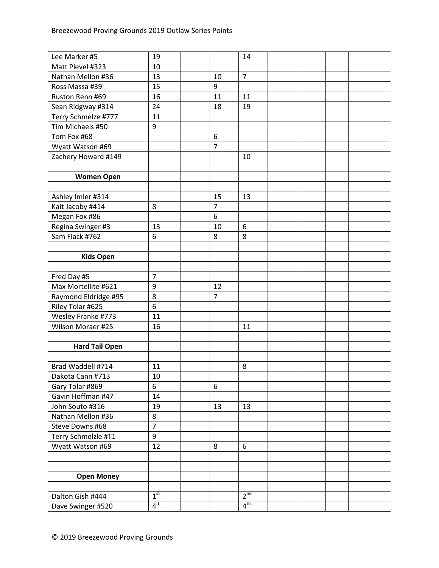| Lee Marker #5         | 19              |                | 14              |  |  |
|-----------------------|-----------------|----------------|-----------------|--|--|
| Matt Plevel #323      | 10              |                |                 |  |  |
| Nathan Mellon #36     | 13              | 10             | $\overline{7}$  |  |  |
| Ross Massa #39        | 15              | 9              |                 |  |  |
| Ruston Renn #69       | 16              | 11             | 11              |  |  |
| Sean Ridgway #314     | 24              | 18             | 19              |  |  |
| Terry Schmelze #777   | 11              |                |                 |  |  |
| Tim Michaels #50      | 9               |                |                 |  |  |
| Tom Fox #68           |                 | 6              |                 |  |  |
| Wyatt Watson #69      |                 | $\overline{7}$ |                 |  |  |
| Zachery Howard #149   |                 |                | 10              |  |  |
|                       |                 |                |                 |  |  |
| <b>Women Open</b>     |                 |                |                 |  |  |
|                       |                 |                |                 |  |  |
| Ashley Imler #314     |                 | 15             | 13              |  |  |
| Kait Jacoby #414      | 8               | $\overline{7}$ |                 |  |  |
| Megan Fox #86         |                 | 6              |                 |  |  |
| Regina Swinger #3     | 13              | 10             | 6               |  |  |
| Sam Flack #762        | 6               | 8              | 8               |  |  |
|                       |                 |                |                 |  |  |
| <b>Kids Open</b>      |                 |                |                 |  |  |
|                       |                 |                |                 |  |  |
| Fred Day #5           | $\overline{7}$  |                |                 |  |  |
| Max Mortellite #621   | 9               | 12             |                 |  |  |
| Raymond Eldridge #95  | 8               | $\overline{7}$ |                 |  |  |
| Riley Tolar #625      | 6               |                |                 |  |  |
| Wesley Franke #773    | 11              |                |                 |  |  |
| Wilson Moraer #25     | 16              |                | 11              |  |  |
|                       |                 |                |                 |  |  |
| <b>Hard Tail Open</b> |                 |                |                 |  |  |
|                       |                 |                |                 |  |  |
| Brad Waddell #714     | 11              |                | 8               |  |  |
| Dakota Cann #713      | 10              |                |                 |  |  |
| Gary Tolar #869       | 6               | 6              |                 |  |  |
| Gavin Hoffman #47     | 14              |                |                 |  |  |
| John Souto #316       | 19              | 13             | 13              |  |  |
| Nathan Mellon #36     | 8               |                |                 |  |  |
| Steve Downs #68       | $\overline{7}$  |                |                 |  |  |
| Terry Schmelzle #T1   | 9               |                |                 |  |  |
| Wyatt Watson #69      | 12              | 8              | $6\,$           |  |  |
|                       |                 |                |                 |  |  |
|                       |                 |                |                 |  |  |
| <b>Open Money</b>     |                 |                |                 |  |  |
|                       |                 |                |                 |  |  |
| Dalton Gish #444      | 1 <sup>st</sup> |                | 2 <sup>nd</sup> |  |  |
| Dave Swinger #520     | 4 <sup>th</sup> |                | 4 <sup>th</sup> |  |  |
|                       |                 |                |                 |  |  |